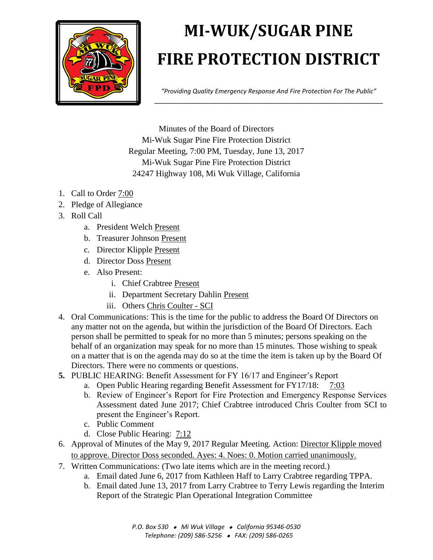

## **MI-WUK/SUGAR PINE FIRE PROTECTION DISTRICT**

*"Providing Quality Emergency Response And Fire Protection For The Public"* \_\_\_\_\_\_\_\_\_\_\_\_\_\_\_\_\_\_\_\_\_\_\_\_\_\_\_\_\_\_\_\_\_\_\_\_\_\_\_\_\_\_\_\_\_\_\_\_\_\_\_\_\_\_\_\_\_\_\_

Minutes of the Board of Directors Mi-Wuk Sugar Pine Fire Protection District Regular Meeting, 7:00 PM, Tuesday, June 13, 2017 Mi-Wuk Sugar Pine Fire Protection District 24247 Highway 108, Mi Wuk Village, California

- 1. Call to Order 7:00
- 2. Pledge of Allegiance
- 3. Roll Call
	- a. President Welch Present
	- b. Treasurer Johnson Present
	- c. Director Klipple Present
	- d. Director Doss Present
	- e. Also Present:
		- i. Chief Crabtree Present
		- ii. Department Secretary Dahlin Present
		- iii. Others Chris Coulter SCI
- 4. Oral Communications: This is the time for the public to address the Board Of Directors on any matter not on the agenda, but within the jurisdiction of the Board Of Directors. Each person shall be permitted to speak for no more than 5 minutes; persons speaking on the behalf of an organization may speak for no more than 15 minutes. Those wishing to speak on a matter that is on the agenda may do so at the time the item is taken up by the Board Of Directors. There were no comments or questions.
- **5.** PUBLIC HEARING: Benefit Assessment for FY 16/17 and Engineer's Report
	- a. Open Public Hearing regarding Benefit Assessment for FY17/18: 7:03
	- b. Review of Engineer's Report for Fire Protection and Emergency Response Services Assessment dated June 2017; Chief Crabtree introduced Chris Coulter from SCI to present the Engineer's Report.
	- c. Public Comment
	- d. Close Public Hearing: 7:12
- 6. Approval of Minutes of the May 9, 2017 Regular Meeting. Action: Director Klipple moved to approve. Director Doss seconded. Ayes: 4. Noes: 0. Motion carried unanimously.
- 7. Written Communications: (Two late items which are in the meeting record.)
	- a. Email dated June 6, 2017 from Kathleen Haff to Larry Crabtree regarding TPPA.
	- b. Email dated June 13, 2017 from Larry Crabtree to Terry Lewis regarding the Interim Report of the Strategic Plan Operational Integration Committee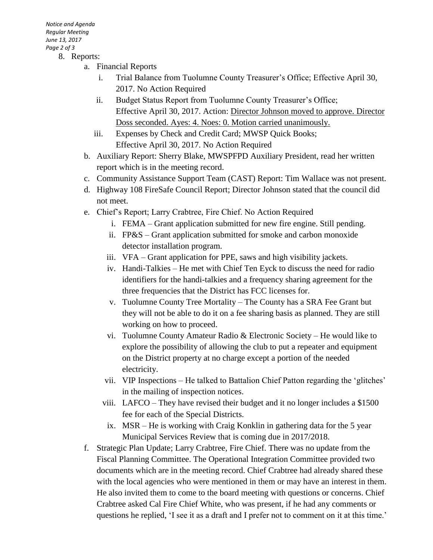*Notice and Agenda Regular Meeting June 13, 2017 Page 2 of 3* 8. Reports:

- a. Financial Reports
	- i. Trial Balance from Tuolumne County Treasurer's Office; Effective April 30, 2017. No Action Required
	- ii. Budget Status Report from Tuolumne County Treasurer's Office; Effective April 30, 2017. Action: Director Johnson moved to approve. Director Doss seconded. Ayes: 4. Noes: 0. Motion carried unanimously.
	- iii. Expenses by Check and Credit Card; MWSP Quick Books; Effective April 30, 2017. No Action Required
	- b. Auxiliary Report: Sherry Blake, MWSPFPD Auxiliary President, read her written report which is in the meeting record.
	- c. Community Assistance Support Team (CAST) Report: Tim Wallace was not present.
	- d. Highway 108 FireSafe Council Report; Director Johnson stated that the council did not meet.
	- e. Chief's Report; Larry Crabtree, Fire Chief. No Action Required
		- i. FEMA Grant application submitted for new fire engine. Still pending.
		- ii. FP&S Grant application submitted for smoke and carbon monoxide detector installation program.
		- iii. VFA Grant application for PPE, saws and high visibility jackets.
		- iv. Handi-Talkies He met with Chief Ten Eyck to discuss the need for radio identifiers for the handi-talkies and a frequency sharing agreement for the three frequencies that the District has FCC licenses for.
		- v. Tuolumne County Tree Mortality The County has a SRA Fee Grant but they will not be able to do it on a fee sharing basis as planned. They are still working on how to proceed.
		- vi. Tuolumne County Amateur Radio & Electronic Society He would like to explore the possibility of allowing the club to put a repeater and equipment on the District property at no charge except a portion of the needed electricity.
		- vii. VIP Inspections He talked to Battalion Chief Patton regarding the 'glitches' in the mailing of inspection notices.
		- viii. LAFCO They have revised their budget and it no longer includes a \$1500 fee for each of the Special Districts.
			- ix. MSR He is working with Craig Konklin in gathering data for the 5 year Municipal Services Review that is coming due in 2017/2018.
	- f. Strategic Plan Update; Larry Crabtree, Fire Chief. There was no update from the Fiscal Planning Committee. The Operational Integration Committee provided two documents which are in the meeting record. Chief Crabtree had already shared these with the local agencies who were mentioned in them or may have an interest in them. He also invited them to come to the board meeting with questions or concerns. Chief Crabtree asked Cal Fire Chief White, who was present, if he had any comments or questions he replied, 'I see it as a draft and I prefer not to comment on it at this time.'